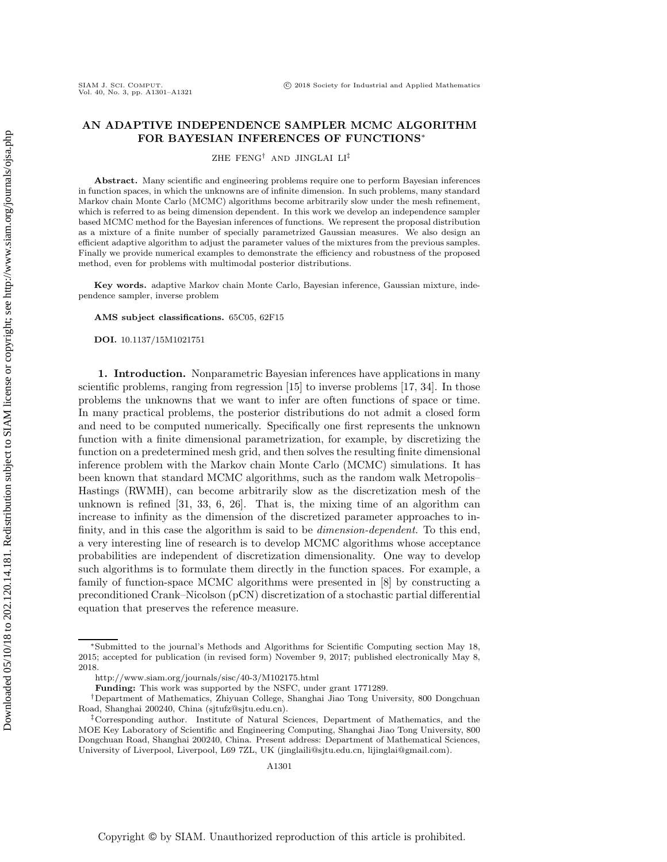# **AN ADAPTIVE INDEPENDENCE SAMPLER MCMC ALGORITHM FOR BAYESIAN INFERENCES OF FUNCTIONS**<sup>∗</sup>

ZHE FENG† AND JINGLAI LI‡

**Abstract.** Many scientific and engineering problems require one to perform Bayesian inferences in function spaces, in which the unknowns are of infinite dimension. In such problems, many standard Markov chain Monte Carlo (MCMC) algorithms become arbitrarily slow under the mesh refinement, which is referred to as being dimension dependent. In this work we develop an independence sampler based MCMC method for the Bayesian inferences of functions. We represent the proposal distribution as a mixture of a finite number of specially parametrized Gaussian measures. We also design an efficient adaptive algorithm to adjust the parameter values of the mixtures from the previous samples. Finally we provide numerical examples to demonstrate the efficiency and robustness of the proposed method, even for problems with multimodal posterior distributions.

**Key words.** adaptive Markov chain Monte Carlo, Bayesian inference, Gaussian mixture, independence sampler, inverse problem

**AMS subject classifications.** 65C05, 62F15

**DOI.** 10.1137/15M1021751

**1. Introduction.** Nonparametric Bayesian inferences have applications in many scientific problems, ranging from regression [\[15\]](#page-19-0) to inverse problems [\[17,](#page-19-1) [34\]](#page-20-0). In those problems the unknowns that we want to infer are often functions of space or time. In many practical problems, the posterior distributions do not admit a closed form and need to be computed numerically. Specifically one first represents the unknown function with a finite dimensional parametrization, for example, by discretizing the function on a predetermined mesh grid, and then solves the resulting finite dimensional inference problem with the Markov chain Monte Carlo (MCMC) simulations. It has been known that standard MCMC algorithms, such as the random walk Metropolis– Hastings (RWMH), can become arbitrarily slow as the discretization mesh of the unknown is refined [\[31,](#page-20-1) [33,](#page-20-2) [6,](#page-19-2) [26\]](#page-20-3). That is, the mixing time of an algorithm can increase to infinity as the dimension of the discretized parameter approaches to infinity, and in this case the algorithm is said to be *dimension-dependent*. To this end, a very interesting line of research is to develop MCMC algorithms whose acceptance probabilities are independent of discretization dimensionality. One way to develop such algorithms is to formulate them directly in the function spaces. For example, a family of function-space MCMC algorithms were presented in [\[8\]](#page-19-3) by constructing a preconditioned Crank–Nicolson (pCN) discretization of a stochastic partial differential equation that preserves the reference measure.

<sup>∗</sup>Submitted to the journal's Methods and Algorithms for Scientific Computing section May 18, 2015; accepted for publication (in revised form) November 9, 2017; published electronically May 8, 2018.

<http://www.siam.org/journals/sisc/40-3/M102175.html>

**Funding:** This work was supported by the NSFC, under grant 1771289.

<sup>†</sup>Department of Mathematics, Zhiyuan College, Shanghai Jiao Tong University, 800 Dongchuan Road, Shanghai 200240, China [\(sjtufz@sjtu.edu.cn\)](mailto:sjtufz@sjtu.edu.cn).

<sup>‡</sup>Corresponding author. Institute of Natural Sciences, Department of Mathematics, and the MOE Key Laboratory of Scientific and Engineering Computing, Shanghai Jiao Tong University, 800 Dongchuan Road, Shanghai 200240, China. Present address: Department of Mathematical Sciences, University of Liverpool, Liverpool, L69 7ZL, UK [\(jinglaili@sjtu.edu.cn,](mailto:jinglaili@sjtu.edu.cn) [lijinglai@gmail.com\)](mailto:lijinglai@gmail.com).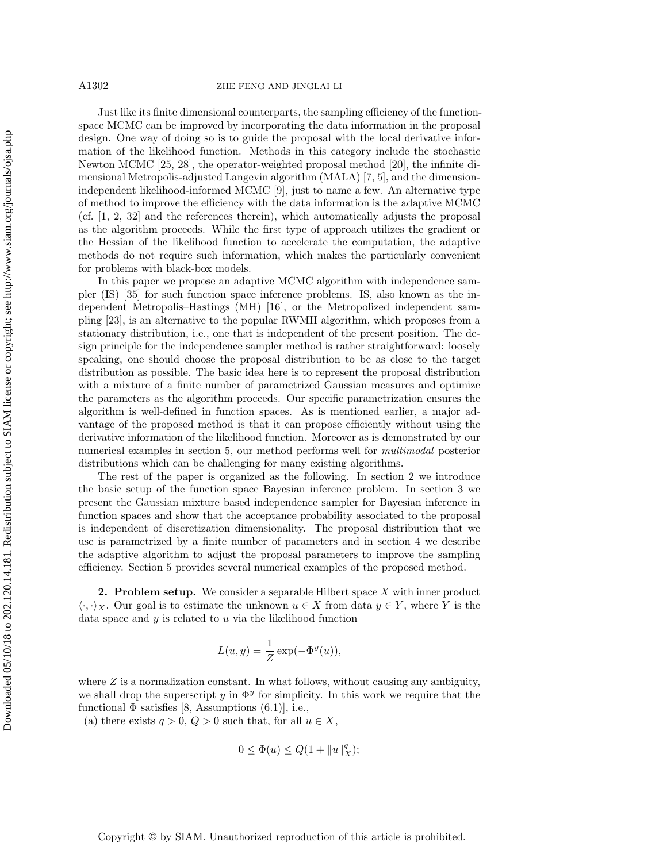#### A1302 ZHE FENG AND JINGLAI LI

Just like its finite dimensional counterparts, the sampling efficiency of the functionspace MCMC can be improved by incorporating the data information in the proposal design. One way of doing so is to guide the proposal with the local derivative information of the likelihood function. Methods in this category include the stochastic Newton MCMC [\[25,](#page-20-4) [28\]](#page-20-5), the operator-weighted proposal method [\[20\]](#page-19-4), the infinite dimensional Metropolis-adjusted Langevin algorithm (MALA) [\[7,](#page-19-5) [5\]](#page-19-6), and the dimensionindependent likelihood-informed MCMC [\[9\]](#page-19-7), just to name a few. An alternative type of method to improve the efficiency with the data information is the adaptive MCMC (cf. [\[1,](#page-19-8) [2,](#page-19-9) [32\]](#page-20-6) and the references therein), which automatically adjusts the proposal as the algorithm proceeds. While the first type of approach utilizes the gradient or the Hessian of the likelihood function to accelerate the computation, the adaptive methods do not require such information, which makes the particularly convenient for problems with black-box models.

In this paper we propose an adaptive MCMC algorithm with independence sampler (IS) [\[35\]](#page-20-7) for such function space inference problems. IS, also known as the independent Metropolis–Hastings (MH) [\[16\]](#page-19-10), or the Metropolized independent sampling [\[23\]](#page-20-8), is an alternative to the popular RWMH algorithm, which proposes from a stationary distribution, i.e., one that is independent of the present position. The design principle for the independence sampler method is rather straightforward: loosely speaking, one should choose the proposal distribution to be as close to the target distribution as possible. The basic idea here is to represent the proposal distribution with a mixture of a finite number of parametrized Gaussian measures and optimize the parameters as the algorithm proceeds. Our specific parametrization ensures the algorithm is well-defined in function spaces. As is mentioned earlier, a major advantage of the proposed method is that it can propose efficiently without using the derivative information of the likelihood function. Moreover as is demonstrated by our numerical examples in section [5,](#page-8-0) our method performs well for *multimodal* posterior distributions which can be challenging for many existing algorithms.

The rest of the paper is organized as the following. In section [2](#page-1-0) we introduce the basic setup of the function space Bayesian inference problem. In section [3](#page-2-0) we present the Gaussian mixture based independence sampler for Bayesian inference in function spaces and show that the acceptance probability associated to the proposal is independent of discretization dimensionality. The proposal distribution that we use is parametrized by a finite number of parameters and in section [4](#page-6-0) we describe the adaptive algorithm to adjust the proposal parameters to improve the sampling efficiency. Section [5](#page-8-0) provides several numerical examples of the proposed method.

<span id="page-1-0"></span>**2. Problem setup.** We consider a separable Hilbert space X with inner product  $\langle \cdot, \cdot \rangle_X$ . Our goal is to estimate the unknown  $u \in X$  from data  $y \in Y$ , where Y is the data space and  $y$  is related to  $u$  via the likelihood function

$$
L(u, y) = \frac{1}{Z} \exp(-\Phi^{y}(u)),
$$

where  $Z$  is a normalization constant. In what follows, without causing any ambiguity, we shall drop the superscript y in  $\Phi^y$  for simplicity. In this work we require that the functional  $\Phi$  satisfies [\[8,](#page-19-3) Assumptions (6.1)], i.e.,

(a) there exists  $q > 0$ ,  $Q > 0$  such that, for all  $u \in X$ ,

$$
0 \le \Phi(u) \le Q(1 + \|u\|_X^q);
$$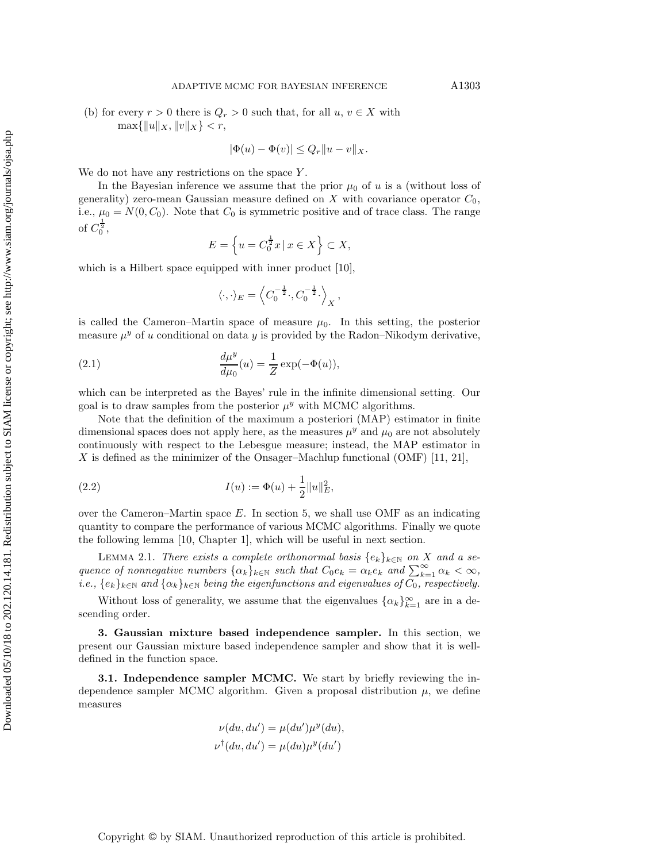(b) for every  $r > 0$  there is  $Q_r > 0$  such that, for all  $u, v \in X$  with  $\max\{\|u\|_X, \|v\|_X\} < r,$ 

$$
|\Phi(u) - \Phi(v)| \le Q_r \|u - v\|_X.
$$

We do not have any restrictions on the space  $Y$ .

In the Bayesian inference we assume that the prior  $\mu_0$  of u is a (without loss of generality) zero-mean Gaussian measure defined on X with covariance operator  $C_0$ , i.e.,  $\mu_0 = N(0, C_0)$ . Note that  $C_0$  is symmetric positive and of trace class. The range of  $C_0^{\frac{1}{2}},$ 

$$
E = \left\{ u = C_0^{\frac{1}{2}} x \mid x \in X \right\} \subset X,
$$

which is a Hilbert space equipped with inner product [\[10\]](#page-19-11),

$$
\langle \cdot, \cdot \rangle_E = \left\langle C_0^{-\frac{1}{2}} \cdot, C_0^{-\frac{1}{2}} \cdot \right\rangle_X,
$$

is called the Cameron–Martin space of measure  $\mu_0$ . In this setting, the posterior measure  $\mu^y$  of u conditional on data y is provided by the Radon–Nikodym derivative,

(2.1) 
$$
\frac{d\mu^{y}}{d\mu_{0}}(u) = \frac{1}{Z} \exp(-\Phi(u)),
$$

which can be interpreted as the Bayes' rule in the infinite dimensional setting. Our goal is to draw samples from the posterior  $\mu^y$  with MCMC algorithms.

Note that the definition of the maximum a posteriori (MAP) estimator in finite dimensional spaces does not apply here, as the measures  $\mu^y$  and  $\mu_0$  are not absolutely continuously with respect to the Lebesgue measure; instead, the MAP estimator in X is defined as the minimizer of the Onsager–Machlup functional (OMF)  $[11, 21]$  $[11, 21]$ ,

(2.2) 
$$
I(u) := \Phi(u) + \frac{1}{2} ||u||_E^2,
$$

over the Cameron–Martin space  $E$ . In section [5,](#page-8-0) we shall use OMF as an indicating quantity to compare the performance of various MCMC algorithms. Finally we quote the following lemma [\[10,](#page-19-11) Chapter 1], which will be useful in next section.

<span id="page-2-1"></span>LEMMA 2.1. *There exists a complete orthonormal basis*  $\{e_k\}_{k\in\mathbb{N}}$  *on* X *and a sequence of nonnegative numbers*  $\{\alpha_k\}_{k\in\mathbb{N}}$  *such that*  $C_0e_k = \alpha_k e_k$  *and*  $\sum_{k=1}^{\infty} \alpha_k < \infty$ *, i.e.,*  $\{e_k\}_{k\in\mathbb{N}}$  and  $\{\alpha_k\}_{k\in\mathbb{N}}$  being the eigenfunctions and eigenvalues of  $C_0$ , respectively.

Without loss of generality, we assume that the eigenvalues  $\{\alpha_k\}_{k=1}^{\infty}$  are in a descending order.

<span id="page-2-0"></span>**3. Gaussian mixture based independence sampler.** In this section, we present our Gaussian mixture based independence sampler and show that it is welldefined in the function space.

**3.1. Independence sampler MCMC.** We start by briefly reviewing the independence sampler MCMC algorithm. Given a proposal distribution  $\mu$ , we define measures

$$
\nu(du, du') = \mu(du')\mu^{y}(du),
$$
  

$$
\nu^{\dagger}(du, du') = \mu(du)\mu^{y}(du')
$$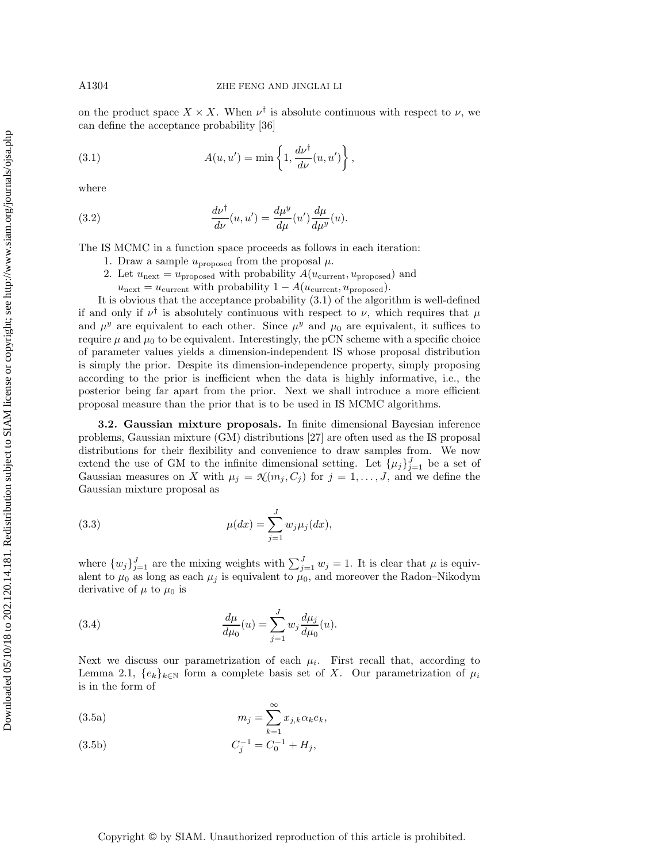on the product space  $X \times X$ . When  $\nu^{\dagger}$  is absolute continuous with respect to  $\nu$ , we can define the acceptance probability [\[36\]](#page-20-9)

<span id="page-3-0"></span>(3.1) 
$$
A(u, u') = \min \left\{ 1, \frac{d\nu^{\dagger}}{d\nu}(u, u') \right\},
$$

where

(3.2) 
$$
\frac{d\nu^{\dagger}}{d\nu}(u, u') = \frac{d\mu^y}{d\mu}(u')\frac{d\mu}{d\mu^y}(u).
$$

The IS MCMC in a function space proceeds as follows in each iteration:

- 1. Draw a sample  $u_{\text{proposed}}$  from the proposal  $\mu$ .
- 2. Let  $u_{\text{next}} = u_{\text{proposed}}$  with probability  $A(u_{\text{current}}, u_{\text{proposed}})$  and
- $u_{\text{next}} = u_{\text{current}}$  with probability  $1 A(u_{\text{current}}, u_{\text{proposed}})$ .

It is obvious that the acceptance probability [\(3.1\)](#page-3-0) of the algorithm is well-defined if and only if  $\nu^{\dagger}$  is absolutely continuous with respect to  $\nu$ , which requires that  $\mu$ and  $\mu^y$  are equivalent to each other. Since  $\mu^y$  and  $\mu_0$  are equivalent, it suffices to require  $\mu$  and  $\mu_0$  to be equivalent. Interestingly, the pCN scheme with a specific choice of parameter values yields a dimension-independent IS whose proposal distribution is simply the prior. Despite its dimension-independence property, simply proposing according to the prior is inefficient when the data is highly informative, i.e., the posterior being far apart from the prior. Next we shall introduce a more efficient proposal measure than the prior that is to be used in IS MCMC algorithms.

**3.2. Gaussian mixture proposals.** In finite dimensional Bayesian inference problems, Gaussian mixture (GM) distributions [\[27\]](#page-20-10) are often used as the IS proposal distributions for their flexibility and convenience to draw samples from. We now extend the use of GM to the infinite dimensional setting. Let  $\{\mu_j\}_{j=1}^J$  be a set of Gaussian measures on X with  $\mu_j = \mathcal{N}(m_j, C_j)$  for  $j = 1, \ldots, J$ , and we define the Gaussian mixture proposal as

(3.3) 
$$
\mu(dx) = \sum_{j=1}^{J} w_j \mu_j(dx),
$$

where  $\{w_j\}_{j=1}^J$  are the mixing weights with  $\sum_{j=1}^J w_j = 1$ . It is clear that  $\mu$  is equivalent to  $\mu_0$  as long as each  $\mu_j$  is equivalent to  $\mu_0$ , and moreover the Radon–Nikodym derivative of  $\mu$  to  $\mu_0$  is

<span id="page-3-1"></span>(3.4) 
$$
\frac{d\mu}{d\mu_0}(u) = \sum_{j=1}^J w_j \frac{d\mu_j}{d\mu_0}(u).
$$

Next we discuss our parametrization of each  $\mu_i$ . First recall that, according to Lemma [2.1,](#page-2-1)  $\{e_k\}_{k\in\mathbb{N}}$  form a complete basis set of X. Our parametrization of  $\mu_i$ is in the form of

<span id="page-3-2"></span>(3.5a) 
$$
m_j = \sum_{k=1}^{\infty} x_{j,k} \alpha_k e_k,
$$

(3.5b) 
$$
C_j^{-1} = C_0^{-1} + H_j,
$$

# Copyright © by SIAM. Unauthorized reproduction of this article is prohibited.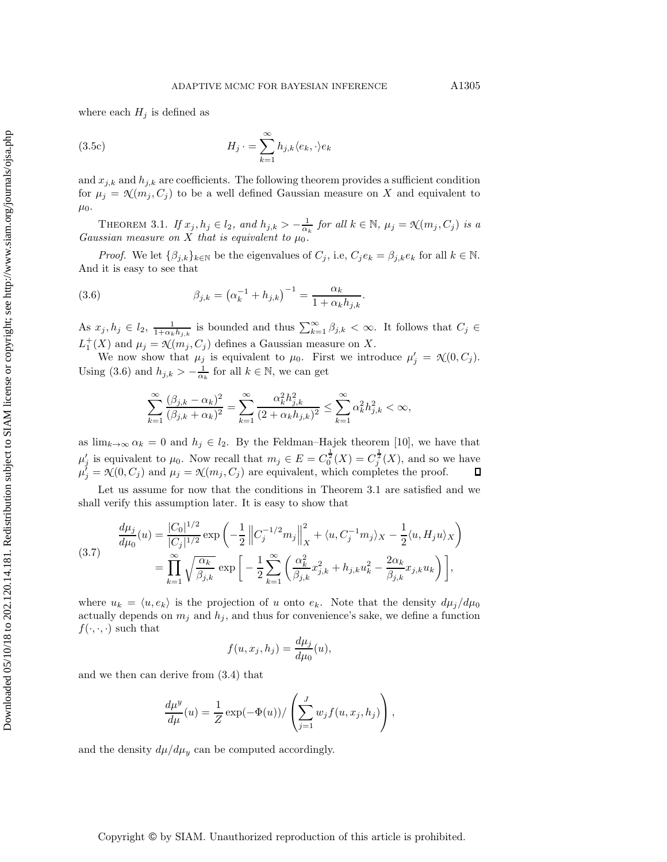where each  $H_j$  is defined as

(3.5c) 
$$
H_j \cdot = \sum_{k=1}^{\infty} h_{j,k} \langle e_k, \cdot \rangle e_k
$$

and  $x_{j,k}$  and  $h_{j,k}$  are coefficients. The following theorem provides a sufficient condition for  $\mu_j = \mathcal{K}(m_j, C_j)$  to be a well defined Gaussian measure on X and equivalent to  $\mu_0$ .

<span id="page-4-1"></span>THEOREM 3.1. *If*  $x_j, h_j \in l_2$ , and  $h_{j,k} > -\frac{1}{\alpha_k}$  for all  $k \in \mathbb{N}$ ,  $\mu_j = \mathcal{N}(m_j, C_j)$  is a *Gaussian measure on* X *that is equivalent to*  $\mu_0$ *.* 

*Proof.* We let  $\{\beta_{j,k}\}_{k\in\mathbb{N}}$  be the eigenvalues of  $C_j$ , i.e,  $C_je_k = \beta_{j,k}e_k$  for all  $k \in \mathbb{N}$ . And it is easy to see that

(3.6) 
$$
\beta_{j,k} = (\alpha_k^{-1} + h_{j,k})^{-1} = \frac{\alpha_k}{1 + \alpha_k h_{j,k}}.
$$

As  $x_j, h_j \in l_2$ ,  $\frac{1}{1+\alpha_k h_{j,k}}$  is bounded and thus  $\sum_{k=1}^{\infty} \beta_{j,k} < \infty$ . It follows that  $C_j \in$  $L_1^+(X)$  and  $\mu_j = \mathcal{N}(m_j, C_j)$  defines a Gaussian measure on X.

We now show that  $\mu_j$  is equivalent to  $\mu_0$ . First we introduce  $\mu'_j = \mathcal{N}(0, C_j)$ . Using [\(3.6\)](#page-4-0) and  $h_{j,k} > -\frac{1}{\alpha_k}$  for all  $k \in \mathbb{N}$ , we can get

<span id="page-4-0"></span>
$$
\sum_{k=1}^{\infty} \frac{(\beta_{j,k} - \alpha_k)^2}{(\beta_{j,k} + \alpha_k)^2} = \sum_{k=1}^{\infty} \frac{\alpha_k^2 h_{j,k}^2}{(2 + \alpha_k h_{j,k})^2} \le \sum_{k=1}^{\infty} \alpha_k^2 h_{j,k}^2 < \infty,
$$

as  $\lim_{k\to\infty} \alpha_k = 0$  and  $h_j \in l_2$ . By the Feldman–Hajek theorem [\[10\]](#page-19-11), we have that  $\mu'_j$  is equivalent to  $\mu_0$ . Now recall that  $m_j \in E = C_0^{\frac{1}{2}}(X) = C_j^{\frac{1}{2}}(X)$ , and so we have  $\mu'_j = \mathcal{N}(0, C_j)$  and  $\mu_j = \mathcal{N}(m_j, C_j)$  are equivalent, which completes the proof.

Let us assume for now that the conditions in Theorem [3.1](#page-4-1) are satisfied and we shall verify this assumption later. It is easy to show that

<span id="page-4-2"></span>(3.7) 
$$
\frac{d\mu_j}{d\mu_0}(u) = \frac{|C_0|^{1/2}}{|C_j|^{1/2}} \exp\left(-\frac{1}{2} \left\|C_j^{-1/2}m_j\right\|_X^2 + \langle u, C_j^{-1}m_j\rangle_X - \frac{1}{2}\langle u, H_j u\rangle_X\right) \n= \prod_{k=1}^{\infty} \sqrt{\frac{\alpha_k}{\beta_{j,k}}} \exp\left[-\frac{1}{2} \sum_{k=1}^{\infty} \left(\frac{\alpha_k^2}{\beta_{j,k}} x_{j,k}^2 + h_{j,k} u_k^2 - \frac{2\alpha_k}{\beta_{j,k}} x_{j,k} u_k\right)\right],
$$

where  $u_k = \langle u, e_k \rangle$  is the projection of u onto  $e_k$ . Note that the density  $d\mu_j/d\mu_0$ actually depends on  $m_j$  and  $h_j$ , and thus for convenience's sake, we define a function  $f(\cdot,\cdot,\cdot)$  such that

$$
f(u, x_j, h_j) = \frac{d\mu_j}{d\mu_0}(u),
$$

and we then can derive from [\(3.4\)](#page-3-1) that

$$
\frac{d\mu^y}{d\mu}(u) = \frac{1}{Z} \exp(-\Phi(u))/\left(\sum_{j=1}^J w_j f(u, x_j, h_j)\right),\,
$$

and the density  $d\mu/d\mu_y$  can be computed accordingly.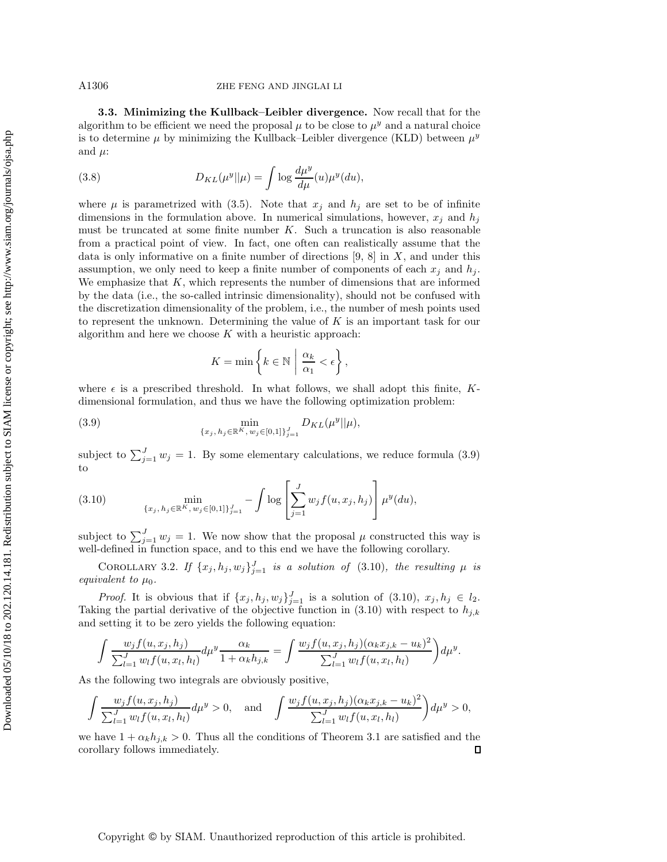# A1306 ZHE FENG AND JINGLAI LI

**3.3. Minimizing the Kullback–Leibler divergence.** Now recall that for the algorithm to be efficient we need the proposal  $\mu$  to be close to  $\mu^y$  and a natural choice is to determine  $\mu$  by minimizing the Kullback–Leibler divergence (KLD) between  $\mu^y$ and  $\mu$ :

(3.8) 
$$
D_{KL}(\mu^y||\mu) = \int \log \frac{d\mu^y}{d\mu}(u)\mu^y(du),
$$

where  $\mu$  is parametrized with [\(3.5\)](#page-3-2). Note that  $x_j$  and  $h_j$  are set to be of infinite dimensions in the formulation above. In numerical simulations, however,  $x_i$  and  $h_i$ must be truncated at some finite number  $K$ . Such a truncation is also reasonable from a practical point of view. In fact, one often can realistically assume that the data is only informative on a finite number of directions [\[9,](#page-19-7) [8\]](#page-19-3) in  $X$ , and under this assumption, we only need to keep a finite number of components of each  $x_j$  and  $h_j$ . We emphasize that  $K$ , which represents the number of dimensions that are informed by the data (i.e., the so-called intrinsic dimensionality), should not be confused with the discretization dimensionality of the problem, i.e., the number of mesh points used to represent the unknown. Determining the value of  $K$  is an important task for our algorithm and here we choose  $K$  with a heuristic approach:

<span id="page-5-0"></span>
$$
K = \min\left\{k \in \mathbb{N} \mid \frac{\alpha_k}{\alpha_1} < \epsilon\right\},\
$$

where  $\epsilon$  is a prescribed threshold. In what follows, we shall adopt this finite, Kdimensional formulation, and thus we have the following optimization problem:

(3.9) 
$$
\min_{\{x_j, h_j \in \mathbb{R}^K, w_j \in [0,1]\}_{j=1}^J} D_{KL}(\mu^y || \mu),
$$

subject to  $\sum_{j=1}^{J} w_j = 1$ . By some elementary calculations, we reduce formula [\(3.9\)](#page-5-0) to

<span id="page-5-1"></span>(3.10) 
$$
\min_{\{x_j, h_j \in \mathbb{R}^K, w_j \in [0,1]\}_{j=1}^J} - \int \log \left[ \sum_{j=1}^J w_j f(u, x_j, h_j) \right] \mu^y(du),
$$

subject to  $\sum_{j=1}^{J} w_j = 1$ . We now show that the proposal  $\mu$  constructed this way is well-defined in function space, and to this end we have the following corollary.

COROLLARY 3.2. *If*  $\{x_j, h_j, w_j\}_{j=1}^J$  *is a solution of* [\(3.10\)](#page-5-1)*, the resulting*  $\mu$  *is equivalent to*  $\mu_0$ *.* 

*Proof.* It is obvious that if  $\{x_j, h_j, w_j\}_{j=1}^J$  is a solution of  $(3.10)$ ,  $x_j, h_j \in l_2$ . Taking the partial derivative of the objective function in  $(3.10)$  with respect to  $h_{j,k}$ and setting it to be zero yields the following equation:

$$
\int \frac{w_j f(u, x_j, h_j)}{\sum_{l=1}^J w_l f(u, x_l, h_l)} d\mu^y \frac{\alpha_k}{1 + \alpha_k h_{j,k}} = \int \frac{w_j f(u, x_j, h_j)(\alpha_k x_{j,k} - u_k)^2}{\sum_{l=1}^J w_l f(u, x_l, h_l)} d\mu^y.
$$

As the following two integrals are obviously positive,

$$
\int \frac{w_j f(u, x_j, h_j)}{\sum_{l=1}^J w_l f(u, x_l, h_l)} d\mu^y > 0, \text{ and } \int \frac{w_j f(u, x_j, h_j)(\alpha_k x_{j,k} - u_k)^2}{\sum_{l=1}^J w_l f(u, x_l, h_l)} d\mu^y > 0,
$$

we have  $1 + \alpha_k h_{j,k} > 0$ . Thus all the conditions of Theorem [3.1](#page-4-1) are satisfied and the  $\Box$ corollary follows immediately.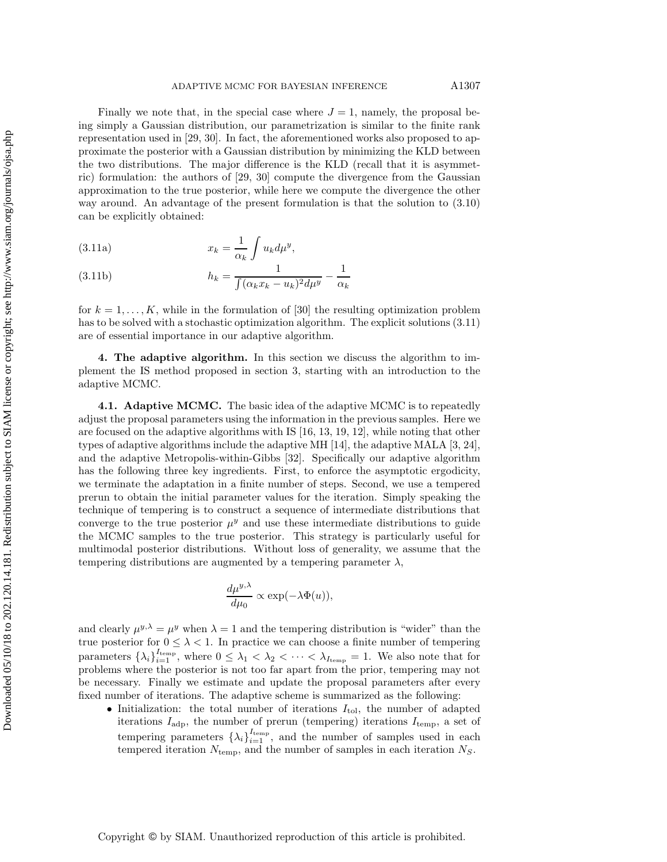Finally we note that, in the special case where  $J = 1$ , namely, the proposal being simply a Gaussian distribution, our parametrization is similar to the finite rank representation used in [\[29,](#page-20-11) [30\]](#page-20-12). In fact, the aforementioned works also proposed to approximate the posterior with a Gaussian distribution by minimizing the KLD between the two distributions. The major difference is the KLD (recall that it is asymmetric) formulation: the authors of [\[29,](#page-20-11) [30\]](#page-20-12) compute the divergence from the Gaussian approximation to the true posterior, while here we compute the divergence the other way around. An advantage of the present formulation is that the solution to [\(3.10\)](#page-5-1) can be explicitly obtained:

<span id="page-6-1"></span>(3.11a) 
$$
x_k = \frac{1}{\alpha_k} \int u_k d\mu^y,
$$

(3.11b) 
$$
h_k = \frac{1}{\int (\alpha_k x_k - u_k)^2 d\mu^y} - \frac{1}{\alpha_k}
$$

for  $k = 1, \ldots, K$ , while in the formulation of [\[30\]](#page-20-12) the resulting optimization problem has to be solved with a stochastic optimization algorithm. The explicit solutions [\(3.11\)](#page-6-1) are of essential importance in our adaptive algorithm.

<span id="page-6-0"></span>**4. The adaptive algorithm.** In this section we discuss the algorithm to implement the IS method proposed in section [3,](#page-2-0) starting with an introduction to the adaptive MCMC.

**4.1. Adaptive MCMC.** The basic idea of the adaptive MCMC is to repeatedly adjust the proposal parameters using the information in the previous samples. Here we are focused on the adaptive algorithms with IS [\[16,](#page-19-10) [13,](#page-19-14) [19,](#page-19-15) [12\]](#page-19-16), while noting that other types of adaptive algorithms include the adaptive MH [\[14\]](#page-19-17), the adaptive MALA [\[3,](#page-19-18) [24\]](#page-20-13), and the adaptive Metropolis-within-Gibbs [\[32\]](#page-20-6). Specifically our adaptive algorithm has the following three key ingredients. First, to enforce the asymptotic ergodicity, we terminate the adaptation in a finite number of steps. Second, we use a tempered prerun to obtain the initial parameter values for the iteration. Simply speaking the technique of tempering is to construct a sequence of intermediate distributions that converge to the true posterior  $\mu^y$  and use these intermediate distributions to guide the MCMC samples to the true posterior. This strategy is particularly useful for multimodal posterior distributions. Without loss of generality, we assume that the tempering distributions are augmented by a tempering parameter  $\lambda$ ,

$$
\frac{d\mu^{y,\lambda}}{d\mu_0} \propto \exp(-\lambda \Phi(u)),
$$

and clearly  $\mu^{y,\lambda} = \mu^y$  when  $\lambda = 1$  and the tempering distribution is "wider" than the true posterior for  $0 \leq \lambda < 1$ . In practice we can choose a finite number of tempering parameters  $\{\lambda_i\}_{i=1}^{I_{\text{temp}}}$ , where  $0 \leq \lambda_1 < \lambda_2 < \cdots < \lambda_{I_{\text{temp}}} = 1$ . We also note that for problems where the posterior is not too far apart from the prior, tempering may not be necessary. Finally we estimate and update the proposal parameters after every fixed number of iterations. The adaptive scheme is summarized as the following:

• Initialization: the total number of iterations  $I_{\text{tol}}$ , the number of adapted iterations  $I_{\text{adp}}$ , the number of prerun (tempering) iterations  $I_{\text{temp}}$ , a set of tempering parameters  $\{\lambda_i\}_{i=1}^{I_{\text{temp}}}$ , and the number of samples used in each tempered iteration  $N_{\text{temp}}$ , and the number of samples in each iteration  $N_S$ .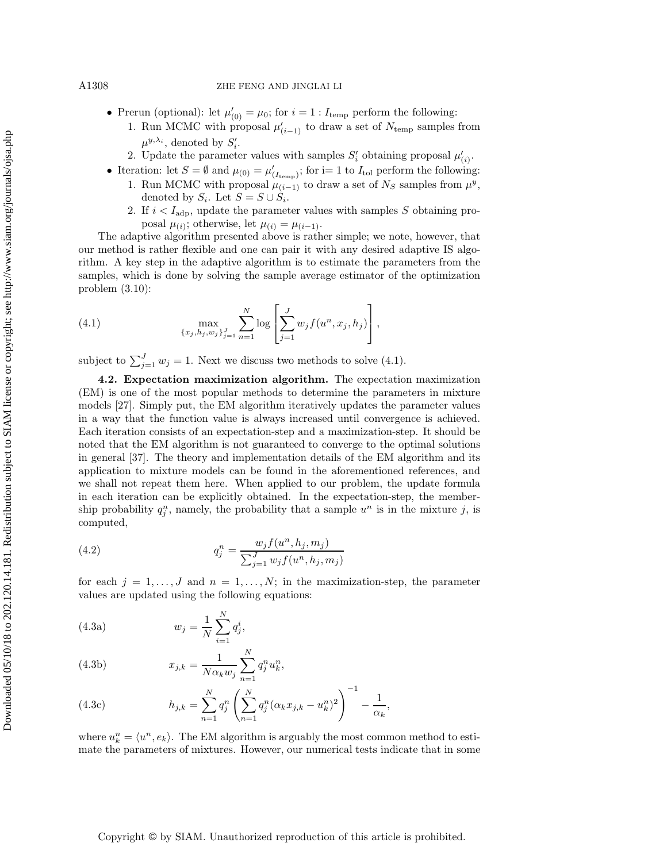### A1308 ZHE FENG AND JINGLAI LI

- Prerun (optional): let  $\mu'_{(0)} = \mu_0$ ; for  $i = 1 : I_{temp}$  perform the following:
	- 1. Run MCMC with proposal  $\mu'_{(i-1)}$  to draw a set of  $N_{\text{temp}}$  samples from  $\mu^{y,\lambda_i}$ , denoted by  $S'_i$ .
	- 2. Update the parameter values with samples  $S_i'$  obtaining proposal  $\mu'_{(i)}$ .
- Iteration: let  $S = \emptyset$  and  $\mu_{(0)} = \mu'_{(I_{\text{temp}})}$ ; for i= 1 to  $I_{\text{tol}}$  perform the following:
	- 1. Run MCMC with proposal  $\mu_{(i-1)}$  to draw a set of  $N_S$  samples from  $\mu^y$ , denoted by  $S_i$ . Let  $S = S \cup S_i$ .
	- 2. If  $i < I_{\text{adp}}$ , update the parameter values with samples S obtaining proposal  $\mu_{(i)}$ ; otherwise, let  $\mu_{(i)} = \mu_{(i-1)}$ .

The adaptive algorithm presented above is rather simple; we note, however, that our method is rather flexible and one can pair it with any desired adaptive IS algorithm. A key step in the adaptive algorithm is to estimate the parameters from the samples, which is done by solving the sample average estimator of the optimization problem [\(3.10\)](#page-5-1):

<span id="page-7-0"></span>(4.1) 
$$
\max_{\{x_j, h_j, w_j\}_{j=1}^J} \sum_{n=1}^N \log \left[ \sum_{j=1}^J w_j f(u^n, x_j, h_j) \right],
$$

subject to  $\sum_{j=1}^{J} w_j = 1$ . Next we discuss two methods to solve [\(4.1\)](#page-7-0).

**4.2. Expectation maximization algorithm.** The expectation maximization (EM) is one of the most popular methods to determine the parameters in mixture models [\[27\]](#page-20-10). Simply put, the EM algorithm iteratively updates the parameter values in a way that the function value is always increased until convergence is achieved. Each iteration consists of an expectation-step and a maximization-step. It should be noted that the EM algorithm is not guaranteed to converge to the optimal solutions in general [\[37\]](#page-20-14). The theory and implementation details of the EM algorithm and its application to mixture models can be found in the aforementioned references, and we shall not repeat them here. When applied to our problem, the update formula in each iteration can be explicitly obtained. In the expectation-step, the membership probability  $q_j^n$ , namely, the probability that a sample  $u^n$  is in the mixture j, is computed,

(4.2) 
$$
q_j^n = \frac{w_j f(u^n, h_j, m_j)}{\sum_{j=1}^J w_j f(u^n, h_j, m_j)}
$$

for each  $j = 1, \ldots, J$  and  $n = 1, \ldots, N$ ; in the maximization-step, the parameter values are updated using the following equations:

(4.3a) 
$$
w_j = \frac{1}{N} \sum_{i=1}^{N} q_j^i,
$$

(4.3b) 
$$
x_{j,k} = \frac{1}{N\alpha_k w_j} \sum_{n=1}^{N} q_j^n u_k^n,
$$

(4.3c) 
$$
h_{j,k} = \sum_{n=1}^{N} q_j^n \left( \sum_{n=1}^{N} q_j^n (\alpha_k x_{j,k} - u_k^n)^2 \right)^{-1} - \frac{1}{\alpha_k},
$$

where  $u_k^n = \langle u^n, e_k \rangle$ . The EM algorithm is arguably the most common method to estimate the parameters of mixtures. However, our numerical tests indicate that in some

Copyright © by SIAM. Unauthorized reproduction of this article is prohibited.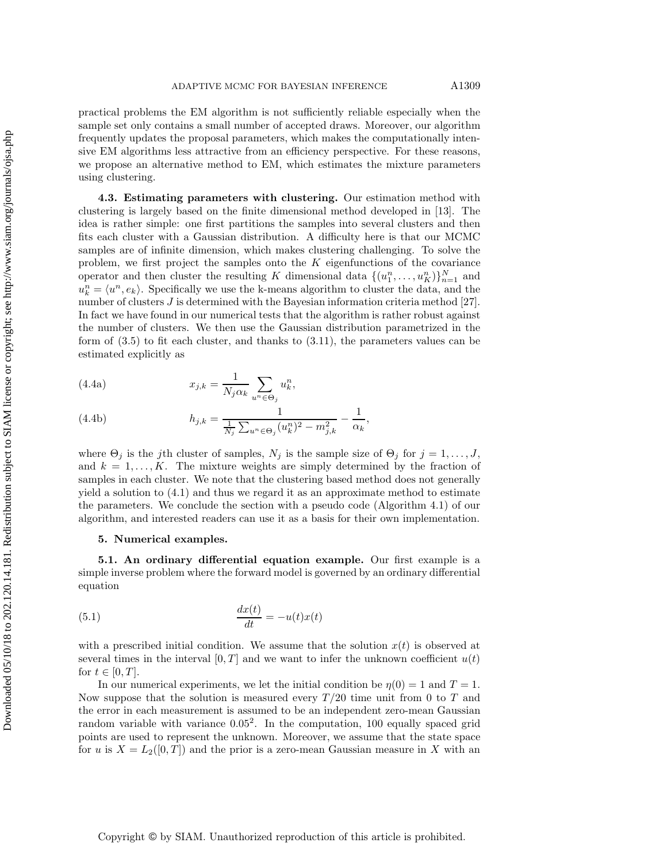practical problems the EM algorithm is not sufficiently reliable especially when the sample set only contains a small number of accepted draws. Moreover, our algorithm frequently updates the proposal parameters, which makes the computationally intensive EM algorithms less attractive from an efficiency perspective. For these reasons, we propose an alternative method to EM, which estimates the mixture parameters using clustering.

**4.3. Estimating parameters with clustering.** Our estimation method with clustering is largely based on the finite dimensional method developed in [\[13\]](#page-19-14). The idea is rather simple: one first partitions the samples into several clusters and then fits each cluster with a Gaussian distribution. A difficulty here is that our MCMC samples are of infinite dimension, which makes clustering challenging. To solve the problem, we first project the samples onto the  $K$  eigenfunctions of the covariance operator and then cluster the resulting K dimensional data  $\{(u_1^n, \ldots, u_K^n)\}_{n=1}^N$  and  $u_k^n = \langle u^n, e_k \rangle$ . Specifically we use the k-means algorithm to cluster the data, and the number of clusters J is determined with the Bayesian information criteria method [\[27\]](#page-20-10). In fact we have found in our numerical tests that the algorithm is rather robust against the number of clusters. We then use the Gaussian distribution parametrized in the form of [\(3.5\)](#page-3-2) to fit each cluster, and thanks to [\(3.11\)](#page-6-1), the parameters values can be estimated explicitly as

<span id="page-8-1"></span>(4.4a) 
$$
x_{j,k} = \frac{1}{N_j \alpha_k} \sum_{u^n \in \Theta_j} u_k^n,
$$

(4.4b) 
$$
h_{j,k} = \frac{1}{\frac{1}{N_j} \sum_{u^n \in \Theta_j} (u_k^n)^2 - m_{j,k}^2} - \frac{1}{\alpha_k},
$$

where  $\Theta_j$  is the jth cluster of samples,  $N_j$  is the sample size of  $\Theta_j$  for  $j = 1, \ldots, J$ , and  $k = 1, \ldots, K$ . The mixture weights are simply determined by the fraction of samples in each cluster. We note that the clustering based method does not generally yield a solution to [\(4.1\)](#page-7-0) and thus we regard it as an approximate method to estimate the parameters. We conclude the section with a pseudo code (Algorithm [4.1\)](#page-9-0) of our algorithm, and interested readers can use it as a basis for their own implementation.

# <span id="page-8-0"></span>**5. Numerical examples.**

**5.1. An ordinary differential equation example.** Our first example is a simple inverse problem where the forward model is governed by an ordinary differential equation

(5.1) 
$$
\frac{dx(t)}{dt} = -u(t)x(t)
$$

with a prescribed initial condition. We assume that the solution  $x(t)$  is observed at several times in the interval  $[0, T]$  and we want to infer the unknown coefficient  $u(t)$ for  $t \in [0, T]$ .

In our numerical experiments, we let the initial condition be  $\eta(0) = 1$  and  $T = 1$ . Now suppose that the solution is measured every  $T/20$  time unit from 0 to T and the error in each measurement is assumed to be an independent zero-mean Gaussian random variable with variance  $0.05<sup>2</sup>$ . In the computation, 100 equally spaced grid points are used to represent the unknown. Moreover, we assume that the state space for u is  $X = L_2([0,T])$  and the prior is a zero-mean Gaussian measure in X with an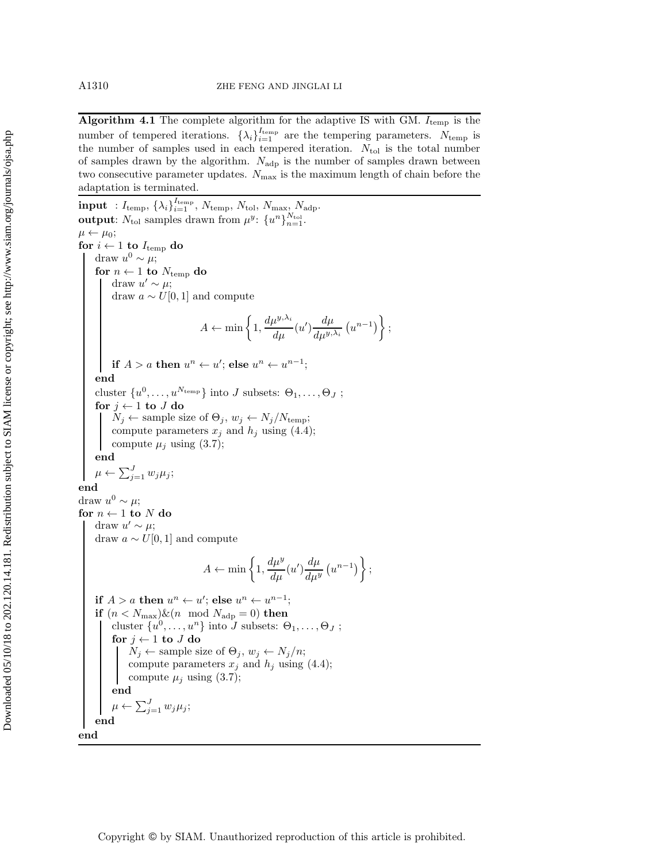**Algorithm 4.1** The complete algorithm for the adaptive IS with GM.  $I_{temp}$  is the number of tempered iterations.  $\{\lambda_i\}_{i=1}^{I_{\text{temp}}}$  are the tempering parameters.  $N_{\text{temp}}$  is the number of samples used in each tempered iteration.  $N_{\text{tol}}$  is the total number of samples drawn by the algorithm.  $N_{\text{adp}}$  is the number of samples drawn between two consecutive parameter updates.  $N_{\text{max}}$  is the maximum length of chain before the adaptation is terminated.

<span id="page-9-0"></span> $\textbf{input}~: I_\text{temp}, \left\{\lambda_i\right\}_{i=1}^{I_\text{temp}}, \, N_\text{temp}, \, N_\text{tol}, \, N_\text{max}, \, N_\text{adp}.$ **output**:  $N_{\text{tol}}$  samples drawn from  $\mu^y$ :  $\{u^n\}_{n=1}^{N_{\text{tol}}}$ .  $\mu \leftarrow \mu_0;$ **for**  $i \leftarrow 1$  **to**  $I_{temp}$  **do** draw  $u^0 \sim \mu$ ; **for**  $n \leftarrow 1$  **to**  $N_{temp}$  **do** draw  $u' \sim \mu$ ; draw  $a \sim U[0, 1]$  and compute  $A \leftarrow \min\left\{1, \frac{d\mu^{y, \lambda_i}}{d\mu}(u') \frac{d\mu}{d\mu^{y, \lambda_i}}(u^{n-1})\right\};$ **if**  $A > a$  **then**  $u^n \leftarrow u'$ ; **else**  $u^n \leftarrow u^{n-1}$ ; **end** cluster  $\{u^0,\ldots,u^{N_{\text{temp}}}\}\$ into J subsets:  $\Theta_1,\ldots,\Theta_J$ ; **for**  $j \leftarrow 1$  **to**  $J$  **do**  $N_j \leftarrow$  sample size of  $\Theta_j$ ,  $w_j \leftarrow N_j/N_{\text{temp}}$ ; compute parameters  $x_j$  and  $h_j$  using [\(4.4\)](#page-8-1); compute  $\mu_j$  using [\(3.7\)](#page-4-2); **end**  $\mu \leftarrow \sum_{j=1}^{J} w_j \mu_j;$ **end** draw  $u^0 \sim \mu$ ; **for**  $n \leftarrow 1$  **to** N **do** draw  $u' \sim \mu$ ; draw  $a \sim U[0, 1]$  and compute  $A \leftarrow \min\left\{1, \frac{d\mu^y}{d\mu}(u')\frac{d\mu}{du^y}(u^{n-1})\right\};$ **if**  $A > a$  **then**  $u^n \leftarrow u'$ ; **else**  $u^n \leftarrow u^{n-1}$ ; **if**  $(n < N_{\text{max}})$ & $(n \mod N_{\text{adp}} = 0)$  **then** cluster  $\{u^0, \ldots, u^n\}$  into J subsets:  $\Theta_1, \ldots, \Theta_J$ ; **for**  $j \leftarrow 1$  **to**  $J$  **do**  $N_j \leftarrow$  sample size of  $\Theta_j$ ,  $w_j \leftarrow N_j/n$ ; compute parameters  $x_j$  and  $h_j$  using [\(4.4\)](#page-8-1); compute  $\mu_j$  using [\(3.7\)](#page-4-2); **end**  $\mu \leftarrow \sum_{j=1}^{J} w_j \mu_j;$ **end end**

Downloaded 05/10/18 to 202.120.14.181. Redistribution subject to SIAM license or copyright; see http://www.siam.org/journals/ojsa.php Downloaded 05/10/18 to 202.120.14.181. Redistribution subject to SIAM license or copyright; see http://www.siam.org/journals/ojsa.php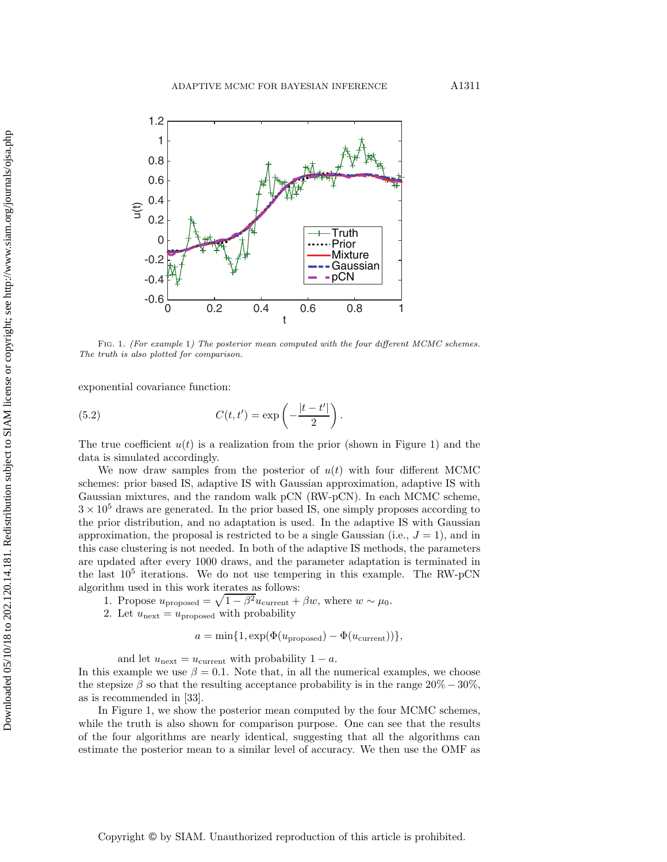<span id="page-10-0"></span>

Fig. 1. (For example 1) The posterior mean computed with the four different MCMC schemes. The truth is also plotted for comparison.

exponential covariance function:

<span id="page-10-1"></span>(5.2) 
$$
C(t,t') = \exp\left(-\frac{|t-t'|}{2}\right).
$$

The true coefficient  $u(t)$  is a realization from the prior (shown in Figure [1\)](#page-10-0) and the data is simulated accordingly.

We now draw samples from the posterior of  $u(t)$  with four different MCMC schemes: prior based IS, adaptive IS with Gaussian approximation, adaptive IS with Gaussian mixtures, and the random walk pCN (RW-pCN). In each MCMC scheme,  $3 \times 10^5$  draws are generated. In the prior based IS, one simply proposes according to the prior distribution, and no adaptation is used. In the adaptive IS with Gaussian approximation, the proposal is restricted to be a single Gaussian (i.e.,  $J = 1$ ), and in this case clustering is not needed. In both of the adaptive IS methods, the parameters are updated after every 1000 draws, and the parameter adaptation is terminated in the last  $10^5$  iterations. We do not use tempering in this example. The RW-pCN algorithm used in this work iterates as follows:

- 1. Propose  $u_{\text{proposed}} = \sqrt{1 \beta^2} u_{\text{current}} + \beta w$ , where  $w \sim \mu_0$ .
- 2. Let  $u_{\text{next}} = u_{\text{proposed}}$  with probability

$$
a = \min\{1, \exp(\Phi(u_{\text{proposed}}) - \Phi(u_{\text{current}}))\},\
$$

and let  $u_{\text{next}} = u_{\text{current}}$  with probability  $1 - a$ .

In this example we use  $\beta = 0.1$ . Note that, in all the numerical examples, we choose the stepsize  $\beta$  so that the resulting acceptance probability is in the range 20% − 30%, as is recommended in [\[33\]](#page-20-2).

In Figure [1,](#page-10-0) we show the posterior mean computed by the four MCMC schemes, while the truth is also shown for comparison purpose. One can see that the results of the four algorithms are nearly identical, suggesting that all the algorithms can estimate the posterior mean to a similar level of accuracy. We then use the OMF as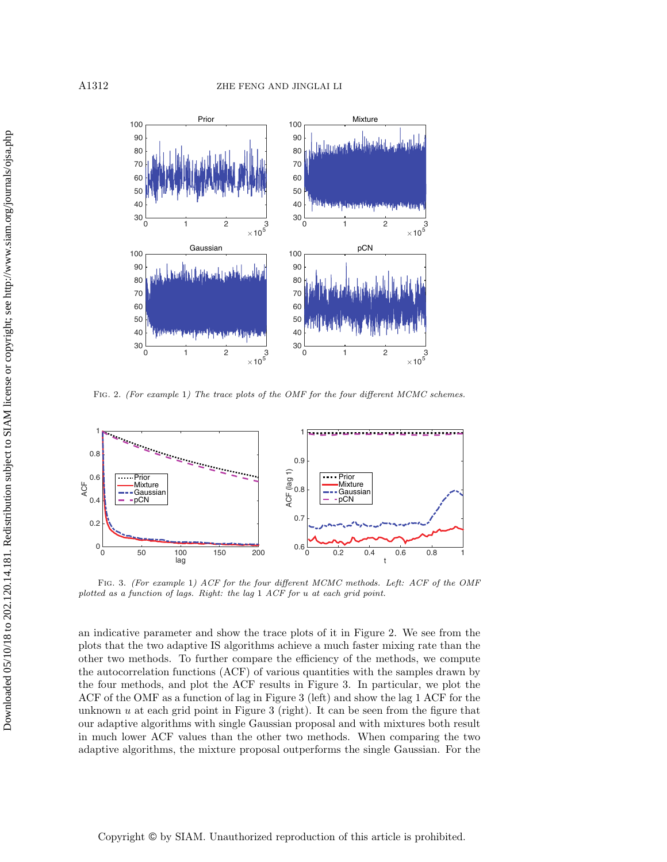<span id="page-11-0"></span>

FIG. 2. (For example 1) The trace plots of the OMF for the four different MCMC schemes.

<span id="page-11-1"></span>

Fig. 3. (For example 1) ACF for the four different MCMC methods. Left: ACF of the OMF plotted as a function of lags. Right: the lag 1 ACF for *u* at each grid point.

an indicative parameter and show the trace plots of it in Figure [2.](#page-11-0) We see from the plots that the two adaptive IS algorithms achieve a much faster mixing rate than the other two methods. To further compare the efficiency of the methods, we compute the autocorrelation functions (ACF) of various quantities with the samples drawn by the four methods, and plot the ACF results in Figure [3.](#page-11-1) In particular, we plot the ACF of the OMF as a function of lag in Figure [3](#page-11-1) (left) and show the lag 1 ACF for the unknown  $u$  at each grid point in Figure [3](#page-11-1) (right). It can be seen from the figure that our adaptive algorithms with single Gaussian proposal and with mixtures both result in much lower ACF values than the other two methods. When comparing the two adaptive algorithms, the mixture proposal outperforms the single Gaussian. For the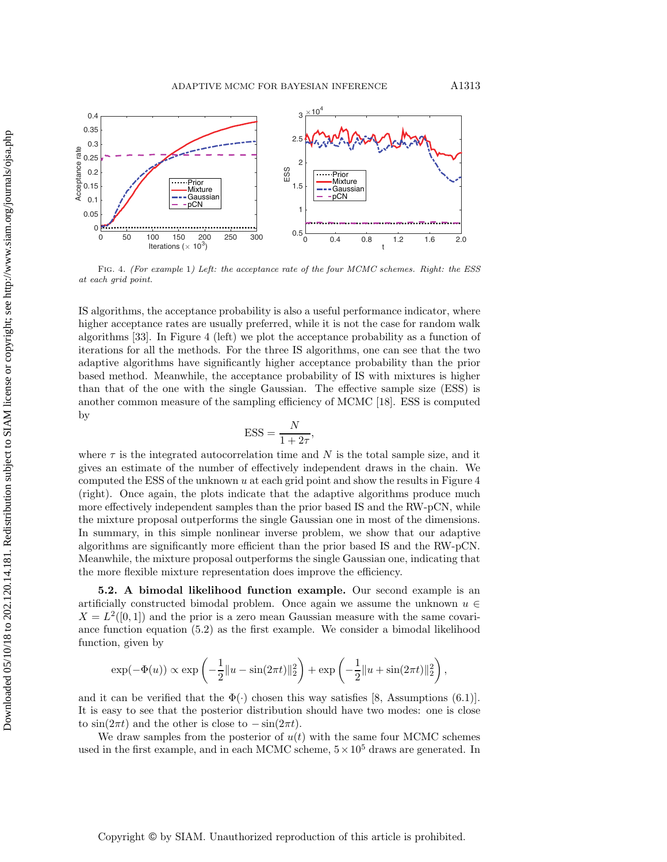<span id="page-12-0"></span>

FIG. 4. (For example 1) Left: the acceptance rate of the four MCMC schemes. Right: the ESS at each grid point.

IS algorithms, the acceptance probability is also a useful performance indicator, where higher acceptance rates are usually preferred, while it is not the case for random walk algorithms [\[33\]](#page-20-2). In Figure [4](#page-12-0) (left) we plot the acceptance probability as a function of iterations for all the methods. For the three IS algorithms, one can see that the two adaptive algorithms have significantly higher acceptance probability than the prior based method. Meanwhile, the acceptance probability of IS with mixtures is higher than that of the one with the single Gaussian. The effective sample size (ESS) is another common measure of the sampling efficiency of MCMC [\[18\]](#page-19-19). ESS is computed by

$$
ESS = \frac{N}{1 + 2\tau},
$$

where  $\tau$  is the integrated autocorrelation time and N is the total sample size, and it gives an estimate of the number of effectively independent draws in the chain. We computed the ESS of the unknown  $u$  at each grid point and show the results in Figure  $4$ (right). Once again, the plots indicate that the adaptive algorithms produce much more effectively independent samples than the prior based IS and the RW-pCN, while the mixture proposal outperforms the single Gaussian one in most of the dimensions. In summary, in this simple nonlinear inverse problem, we show that our adaptive algorithms are significantly more efficient than the prior based IS and the RW-pCN. Meanwhile, the mixture proposal outperforms the single Gaussian one, indicating that the more flexible mixture representation does improve the efficiency.

**5.2. A bimodal likelihood function example.** Our second example is an artificially constructed bimodal problem. Once again we assume the unknown  $u \in$  $X = L<sup>2</sup>(0, 1)$  and the prior is a zero mean Gaussian measure with the same covariance function equation [\(5.2\)](#page-10-1) as the first example. We consider a bimodal likelihood function, given by

$$
\exp(-\Phi(u)) \propto \exp\left(-\frac{1}{2}||u - \sin(2\pi t)||_2^2\right) + \exp\left(-\frac{1}{2}||u + \sin(2\pi t)||_2^2\right),\,
$$

and it can be verified that the  $\Phi(\cdot)$  chosen this way satisfies [\[8,](#page-19-3) Assumptions (6.1)]. It is easy to see that the posterior distribution should have two modes: one is close to  $\sin(2\pi t)$  and the other is close to  $-\sin(2\pi t)$ .

We draw samples from the posterior of  $u(t)$  with the same four MCMC schemes used in the first example, and in each MCMC scheme,  $5 \times 10^5$  draws are generated. In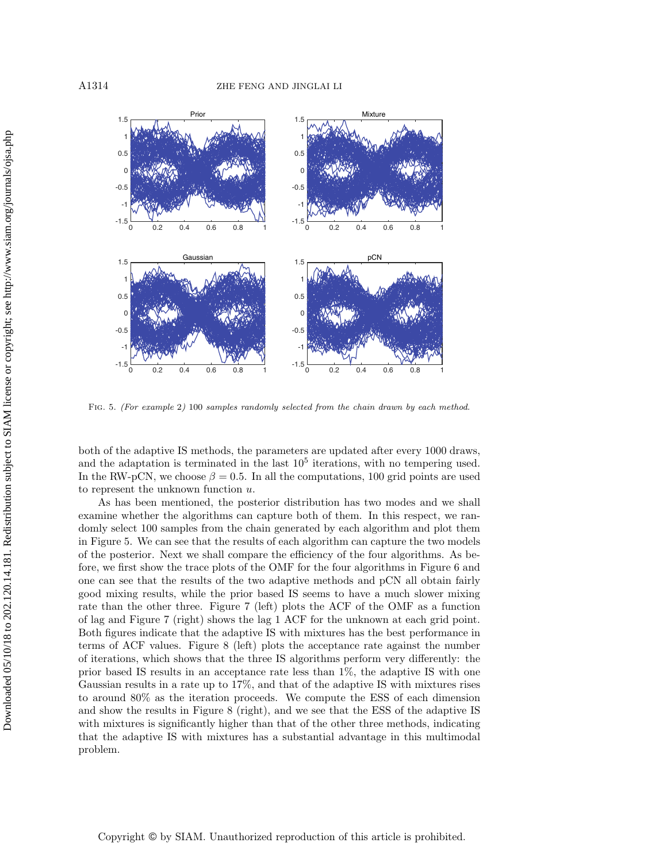<span id="page-13-0"></span>

Fig. 5. (For example 2) 100 samples randomly selected from the chain drawn by each method.

both of the adaptive IS methods, the parameters are updated after every 1000 draws, and the adaptation is terminated in the last  $10<sup>5</sup>$  iterations, with no tempering used. In the RW-pCN, we choose  $\beta = 0.5$ . In all the computations, 100 grid points are used to represent the unknown function  $u$ .

As has been mentioned, the posterior distribution has two modes and we shall examine whether the algorithms can capture both of them. In this respect, we randomly select 100 samples from the chain generated by each algorithm and plot them in Figure [5.](#page-13-0) We can see that the results of each algorithm can capture the two models of the posterior. Next we shall compare the efficiency of the four algorithms. As before, we first show the trace plots of the OMF for the four algorithms in Figure [6](#page-14-0) and one can see that the results of the two adaptive methods and pCN all obtain fairly good mixing results, while the prior based IS seems to have a much slower mixing rate than the other three. Figure [7](#page-14-1) (left) plots the ACF of the OMF as a function of lag and Figure [7](#page-14-1) (right) shows the lag 1 ACF for the unknown at each grid point. Both figures indicate that the adaptive IS with mixtures has the best performance in terms of ACF values. Figure [8](#page-15-0) (left) plots the acceptance rate against the number of iterations, which shows that the three IS algorithms perform very differently: the prior based IS results in an acceptance rate less than 1%, the adaptive IS with one Gaussian results in a rate up to 17%, and that of the adaptive IS with mixtures rises to around 80% as the iteration proceeds. We compute the ESS of each dimension and show the results in Figure [8](#page-15-0) (right), and we see that the ESS of the adaptive IS with mixtures is significantly higher than that of the other three methods, indicating that the adaptive IS with mixtures has a substantial advantage in this multimodal problem.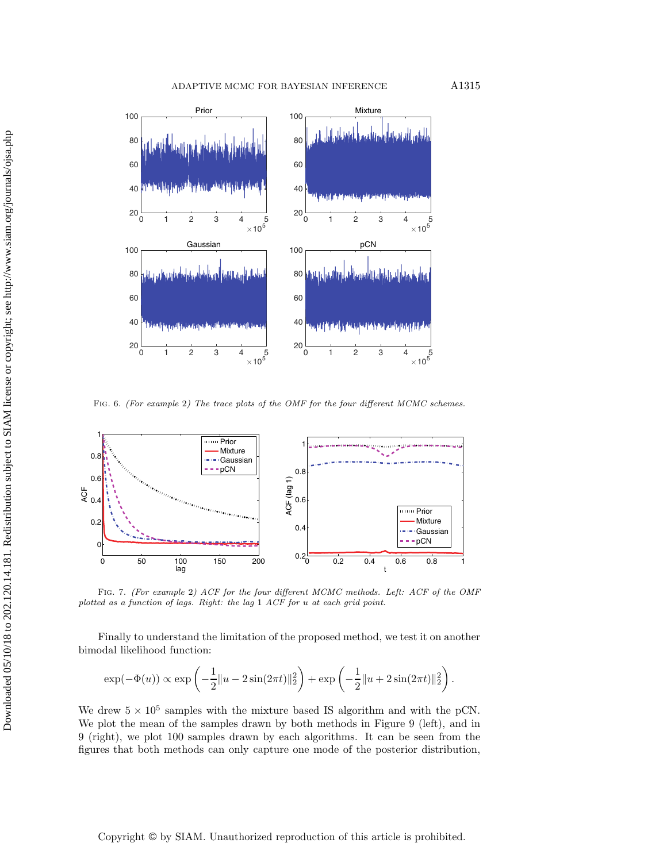<span id="page-14-0"></span>

FIG. 6. (For example 2) The trace plots of the OMF for the four different MCMC schemes.

<span id="page-14-1"></span>

Fig. 7. (For example 2) ACF for the four different MCMC methods. Left: ACF of the OMF plotted as a function of lags. Right: the lag 1 ACF for *u* at each grid point.

Finally to understand the limitation of the proposed method, we test it on another bimodal likelihood function:

$$
\exp(-\Phi(u)) \propto \exp\left(-\frac{1}{2}||u - 2\sin(2\pi t)||_2^2\right) + \exp\left(-\frac{1}{2}||u + 2\sin(2\pi t)||_2^2\right).
$$

We drew  $5 \times 10^5$  samples with the mixture based IS algorithm and with the pCN. We plot the mean of the samples drawn by both methods in Figure [9](#page-15-1) (left), and in [9](#page-15-1) (right), we plot 100 samples drawn by each algorithms. It can be seen from the figures that both methods can only capture one mode of the posterior distribution,

Copyright © by SIAM. Unauthorized reproduction of this article is prohibited.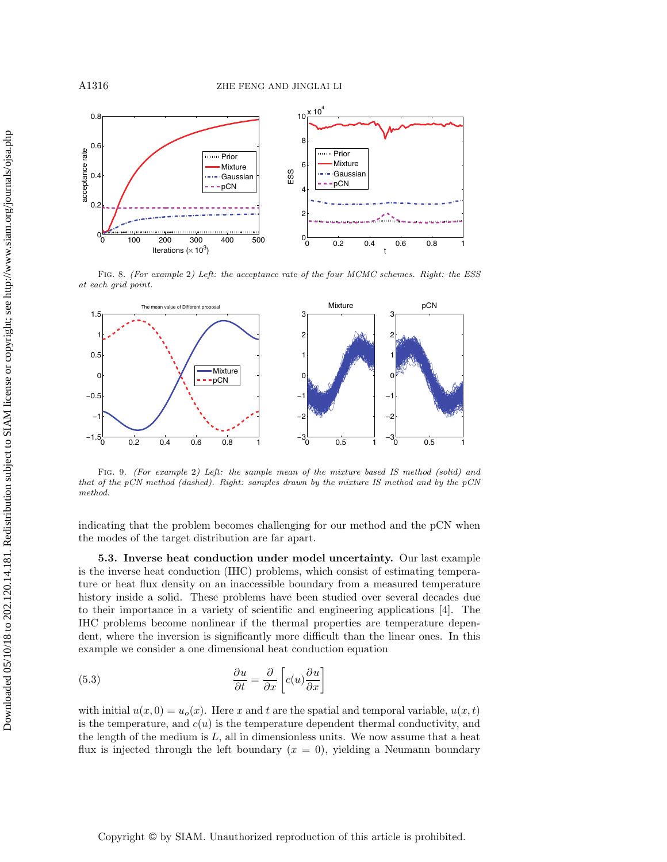<span id="page-15-0"></span>

Fig. 8. (For example 2) Left: the acceptance rate of the four MCMC schemes. Right: the ESS at each grid point.

<span id="page-15-1"></span>

Fig. 9. (For example 2) Left: the sample mean of the mixture based IS method (solid) and that of the pCN method (dashed). Right: samples drawn by the mixture IS method and by the pCN method.

indicating that the problem becomes challenging for our method and the pCN when the modes of the target distribution are far apart.

**5.3. Inverse heat conduction under model uncertainty.** Our last example is the inverse heat conduction (IHC) problems, which consist of estimating temperature or heat flux density on an inaccessible boundary from a measured temperature history inside a solid. These problems have been studied over several decades due to their importance in a variety of scientific and engineering applications [\[4\]](#page-19-20). The IHC problems become nonlinear if the thermal properties are temperature dependent, where the inversion is significantly more difficult than the linear ones. In this example we consider a one dimensional heat conduction equation

<span id="page-15-2"></span>(5.3) 
$$
\frac{\partial u}{\partial t} = \frac{\partial}{\partial x} \left[ c(u) \frac{\partial u}{\partial x} \right]
$$

with initial  $u(x, 0) = u_o(x)$ . Here x and t are the spatial and temporal variable,  $u(x, t)$ is the temperature, and  $c(u)$  is the temperature dependent thermal conductivity, and the length of the medium is  $L$ , all in dimensionless units. We now assume that a heat flux is injected through the left boundary  $(x = 0)$ , yielding a Neumann boundary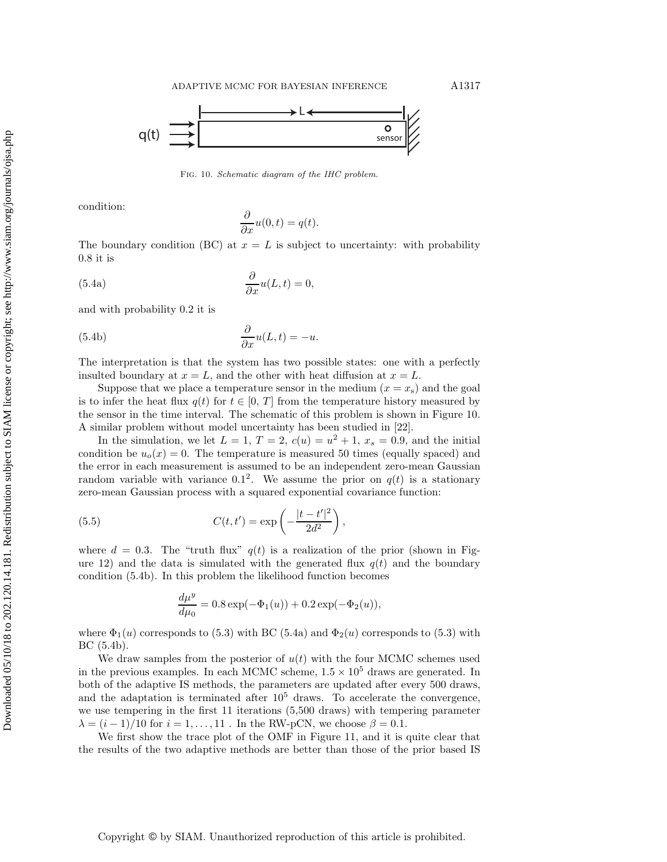<span id="page-16-0"></span>

Fig. 10. Schematic diagram of the IHC problem.

condition:

<span id="page-16-2"></span><span id="page-16-1"></span>
$$
\frac{\partial}{\partial x}u(0,t) = q(t).
$$

The boundary condition (BC) at  $x = L$  is subject to uncertainty: with probability  $0.8$  it is

(5.4a) 
$$
\frac{\partial}{\partial x}u(L,t) = 0,
$$

and with probability 0.2 it is

(5.4b) 
$$
\frac{\partial}{\partial x}u(L,t) = -u.
$$

The interpretation is that the system has two possible states: one with a perfectly insulted boundary at  $x = L$ , and the other with heat diffusion at  $x = L$ .

Suppose that we place a temperature sensor in the medium  $(x = x<sub>s</sub>)$  and the goal is to infer the heat flux  $q(t)$  for  $t \in [0, T]$  from the temperature history measured by the sensor in the time interval. The schematic of this problem is shown in Figure [10.](#page-16-0) A similar problem without model uncertainty has been studied in [\[22\]](#page-19-21).

In the simulation, we let  $L = 1$ ,  $T = 2$ ,  $c(u) = u^2 + 1$ ,  $x_s = 0.9$ , and the initial condition be  $u_o(x) = 0$ . The temperature is measured 50 times (equally spaced) and the error in each measurement is assumed to be an independent zero-mean Gaussian random variable with variance 0.1<sup>2</sup>. We assume the prior on  $q(t)$  is a stationary zero-mean Gaussian process with a squared exponential covariance function:

(5.5) 
$$
C(t, t') = \exp\left(-\frac{|t - t'|^2}{2d^2}\right),
$$

where  $d = 0.3$ . The "truth flux"  $q(t)$  is a realization of the prior (shown in Fig-ure [12\)](#page-17-0) and the data is simulated with the generated flux  $q(t)$  and the boundary condition [\(5.4b\)](#page-16-1). In this problem the likelihood function becomes

$$
\frac{d\mu^{y}}{d\mu_{0}} = 0.8 \exp(-\Phi_{1}(u)) + 0.2 \exp(-\Phi_{2}(u)),
$$

where  $\Phi_1(u)$  corresponds to [\(5.3\)](#page-15-2) with BC [\(5.4a\)](#page-16-2) and  $\Phi_2(u)$  corresponds to (5.3) with BC [\(5.4b\)](#page-16-1).

We draw samples from the posterior of  $u(t)$  with the four MCMC schemes used in the previous examples. In each MCMC scheme,  $1.5 \times 10^5$  draws are generated. In both of the adaptive IS methods, the parameters are updated after every 500 draws, and the adaptation is terminated after  $10<sup>5</sup>$  draws. To accelerate the convergence, we use tempering in the first 11 iterations (5,500 draws) with tempering parameter  $\lambda = (i-1)/10$  for  $i = 1, ..., 11$ . In the RW-pCN, we choose  $\beta = 0.1$ .

We first show the trace plot of the OMF in Figure [11,](#page-17-1) and it is quite clear that the results of the two adaptive methods are better than those of the prior based IS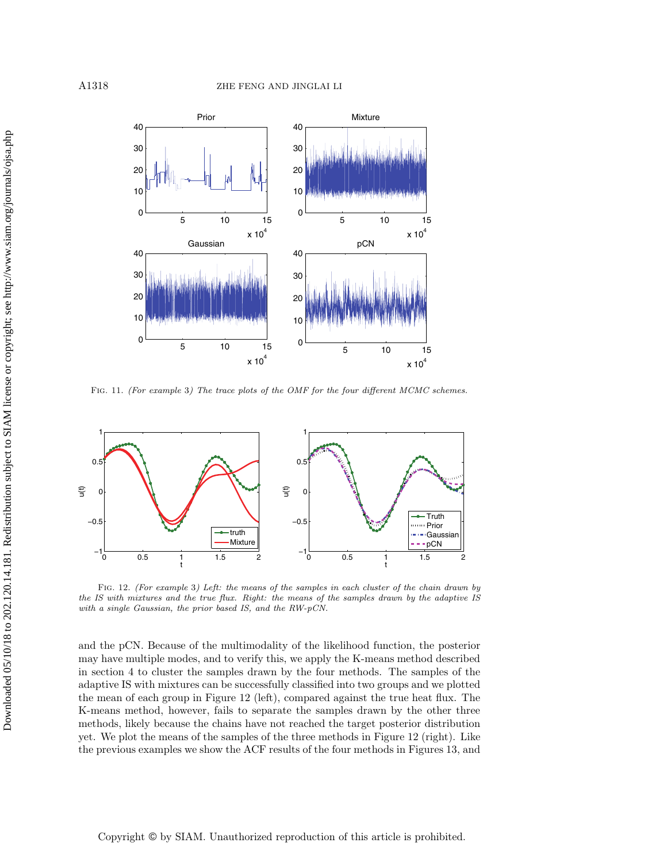<span id="page-17-1"></span>

Fig. 11. (For example 3) The trace plots of the OMF for the four different MCMC schemes.

<span id="page-17-0"></span>

Fig. 12. (For example 3) Left: the means of the samples in each cluster of the chain drawn by the IS with mixtures and the true flux. Right: the means of the samples drawn by the adaptive IS with a single Gaussian, the prior based IS, and the RW-pCN.

and the pCN. Because of the multimodality of the likelihood function, the posterior may have multiple modes, and to verify this, we apply the K-means method described in section [4](#page-6-0) to cluster the samples drawn by the four methods. The samples of the adaptive IS with mixtures can be successfully classified into two groups and we plotted the mean of each group in Figure [12](#page-17-0) (left), compared against the true heat flux. The K-means method, however, fails to separate the samples drawn by the other three methods, likely because the chains have not reached the target posterior distribution yet. We plot the means of the samples of the three methods in Figure [12](#page-17-0) (right). Like the previous examples we show the ACF results of the four methods in Figures [13,](#page-18-0) and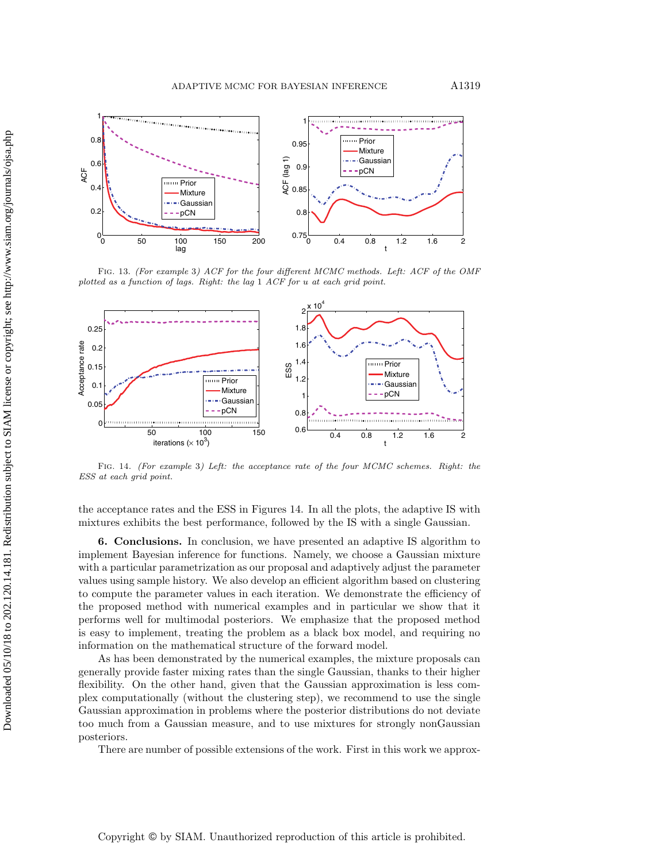<span id="page-18-0"></span>

Fig. 13. (For example 3) ACF for the four different MCMC methods. Left: ACF of the OMF plotted as a function of lags. Right: the lag 1 ACF for *u* at each grid point.

<span id="page-18-1"></span>

Fig. 14. (For example 3) Left: the acceptance rate of the four MCMC schemes. Right: the ESS at each grid point.

the acceptance rates and the ESS in Figures [14.](#page-18-1) In all the plots, the adaptive IS with mixtures exhibits the best performance, followed by the IS with a single Gaussian.

**6. Conclusions.** In conclusion, we have presented an adaptive IS algorithm to implement Bayesian inference for functions. Namely, we choose a Gaussian mixture with a particular parametrization as our proposal and adaptively adjust the parameter values using sample history. We also develop an efficient algorithm based on clustering to compute the parameter values in each iteration. We demonstrate the efficiency of the proposed method with numerical examples and in particular we show that it performs well for multimodal posteriors. We emphasize that the proposed method is easy to implement, treating the problem as a black box model, and requiring no information on the mathematical structure of the forward model.

As has been demonstrated by the numerical examples, the mixture proposals can generally provide faster mixing rates than the single Gaussian, thanks to their higher flexibility. On the other hand, given that the Gaussian approximation is less complex computationally (without the clustering step), we recommend to use the single Gaussian approximation in problems where the posterior distributions do not deviate too much from a Gaussian measure, and to use mixtures for strongly nonGaussian posteriors.

There are number of possible extensions of the work. First in this work we approx-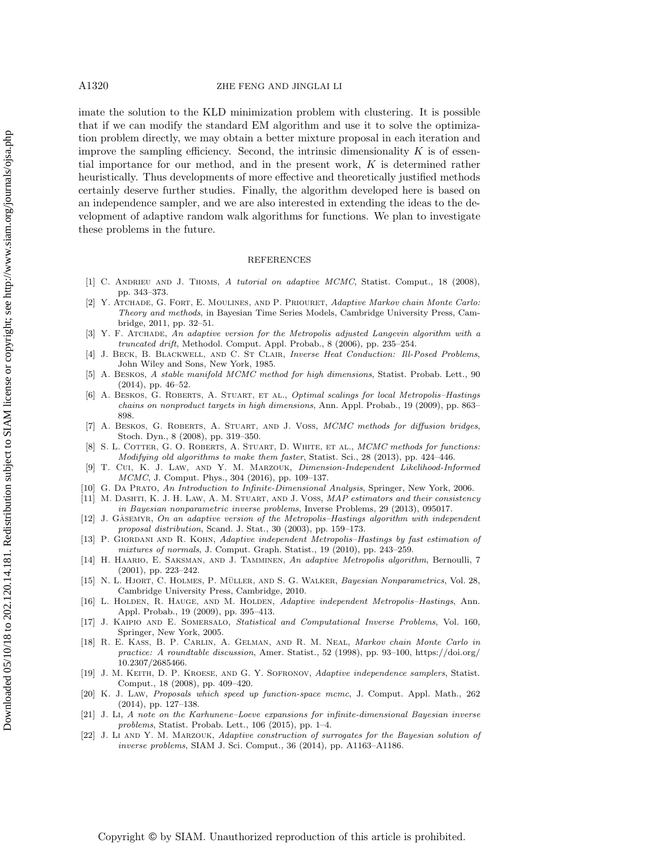imate the solution to the KLD minimization problem with clustering. It is possible that if we can modify the standard EM algorithm and use it to solve the optimization problem directly, we may obtain a better mixture proposal in each iteration and improve the sampling efficiency. Second, the intrinsic dimensionality  $K$  is of essential importance for our method, and in the present work, K is determined rather heuristically. Thus developments of more effective and theoretically justified methods certainly deserve further studies. Finally, the algorithm developed here is based on an independence sampler, and we are also interested in extending the ideas to the development of adaptive random walk algorithms for functions. We plan to investigate these problems in the future.

### REFERENCES

- <span id="page-19-8"></span>[1] C. ANDRIEU AND J. THOMS, A tutorial on adaptive MCMC, Statist. Comput., 18 (2008), pp. 343–373.
- <span id="page-19-9"></span>[2] Y. Atchade, G. Fort, E. Moulines, and P. Priouret, Adaptive Markov chain Monte Carlo: Theory and methods, in Bayesian Time Series Models, Cambridge University Press, Cambridge, 2011, pp. 32–51.
- <span id="page-19-18"></span>[3] Y. F. ATCHADE, An adaptive version for the Metropolis adjusted Langevin algorithm with a truncated drift, Methodol. Comput. Appl. Probab., 8 (2006), pp. 235–254.
- <span id="page-19-20"></span>[4] J. BECK, B. BLACKWELL, AND C. ST CLAIR, Inverse Heat Conduction: Ill-Posed Problems, John Wiley and Sons, New York, 1985.
- <span id="page-19-6"></span>[5] A. Beskos, A stable manifold MCMC method for high dimensions, Statist. Probab. Lett., 90 (2014), pp. 46–52.
- <span id="page-19-2"></span>[6] A. BESKOS, G. ROBERTS, A. STUART, ET AL., *Optimal scalings for local Metropolis–Hastings* chains on nonproduct targets in high dimensions, Ann. Appl. Probab., 19 (2009), pp. 863– 898.
- <span id="page-19-5"></span>[7] A. BESKOS, G. ROBERTS, A. STUART, AND J. VOSS, MCMC methods for diffusion bridges, Stoch. Dyn., 8 (2008), pp. 319–350.
- <span id="page-19-3"></span>[8] S. L. COTTER, G. O. ROBERTS, A. STUART, D. WHITE, ET AL., MCMC methods for functions: Modifying old algorithms to make them faster, Statist. Sci., 28 (2013), pp. 424–446.
- <span id="page-19-7"></span>[9] T. Cui, K. J. Law, and Y. M. Marzouk, Dimension-Independent Likelihood-Informed MCMC, J. Comput. Phys., 304 (2016), pp. 109–137.
- <span id="page-19-12"></span><span id="page-19-11"></span>[10] G. DA PRATO, An Introduction to Infinite-Dimensional Analysis, Springer, New York, 2006.
- [11] M. DASHTI, K. J. H. LAW, A. M. STUART, AND J. VOSS, MAP estimators and their consistency in Bayesian nonparametric inverse problems, Inverse Problems, 29 (2013), 095017.
- <span id="page-19-16"></span>[12] J. GÅSEMYR, On an adaptive version of the Metropolis–Hastings algorithm with independent proposal distribution, Scand. J. Stat., 30 (2003), pp. 159–173.
- <span id="page-19-14"></span>P. GIORDANI AND R. KOHN, Adaptive independent Metropolis-Hastings by fast estimation of mixtures of normals, J. Comput. Graph. Statist., 19 (2010), pp. 243–259.
- <span id="page-19-17"></span>[14] H. Haario, E. Saksman, and J. Tamminen, An adaptive Metropolis algorithm, Bernoulli, 7 (2001), pp. 223–242.
- <span id="page-19-0"></span>[15] N. L. HJORT, C. HOLMES, P. MÜLLER, AND S. G. WALKER, Bayesian Nonparametrics, Vol. 28, Cambridge University Press, Cambridge, 2010.
- <span id="page-19-10"></span>[16] L. HOLDEN, R. HAUGE, AND M. HOLDEN, Adaptive independent Metropolis-Hastings, Ann. Appl. Probab., 19 (2009), pp. 395–413.
- <span id="page-19-1"></span>[17] J. KAIPIO AND E. SOMERSALO, Statistical and Computational Inverse Problems, Vol. 160, Springer, New York, 2005.
- <span id="page-19-19"></span>[18] R. E. Kass, B. P. Carlin, A. Gelman, and R. M. Neal, Markov chain Monte Carlo in practice: A roundtable discussion, Amer. Statist., 52 (1998), pp. 93–100, [https://doi.org/](https://doi.org/10.2307/2685466) [10.2307/2685466.](https://doi.org/10.2307/2685466)
- <span id="page-19-15"></span>[19] J. M. Keith, D. P. Kroese, and G. Y. Sofronov, Adaptive independence samplers, Statist. Comput., 18 (2008), pp. 409–420.
- <span id="page-19-4"></span>[20] K. J. Law, Proposals which speed up function-space mcmc, J. Comput. Appl. Math., 262 (2014), pp. 127–138.
- <span id="page-19-13"></span>[21] J. Li, A note on the Karhunene–Loeve expansions for infinite-dimensional Bayesian inverse problems, Statist. Probab. Lett., 106 (2015), pp. 1–4.
- <span id="page-19-21"></span>J. Li AND Y. M. MARZOUK, Adaptive construction of surrogates for the Bayesian solution of inverse problems, SIAM J. Sci. Comput., 36 (2014), pp. A1163–A1186.